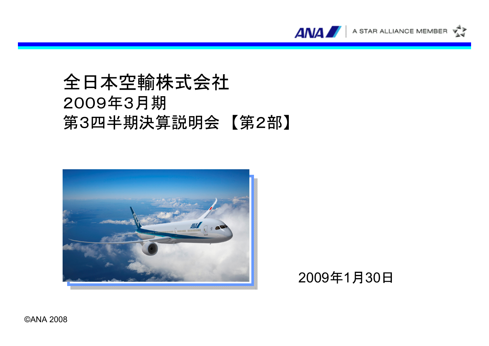

## 全日本空輸株式会社 2009年3月期 第3四半期決算説明会 【第2部】



## 2009年1月30日

©ANA 2008 $8<sup>1</sup>$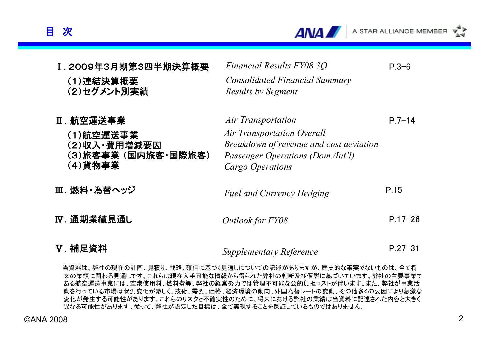目 次



| Ⅰ.2009年3月期第3四半期決算概要<br>(1)連結決算概要<br>(2)セグメント別実績                          | Financial Results FY08 3Q<br><b>Consolidated Financial Summary</b><br><b>Results by Segment</b>                                                                    | $P.3 - 6$   |
|--------------------------------------------------------------------------|--------------------------------------------------------------------------------------------------------------------------------------------------------------------|-------------|
| Ⅱ. 航空運送事業<br>(1)航空運送事業<br>(2)収入·費用増減要因<br>(3)旅客事業 (国内旅客·国際旅客)<br>(4)貨物事業 | Air Transportation<br><b>Air Transportation Overall</b><br>Breakdown of revenue and cost deviation<br><i>Passenger Operations (Dom./Int'l)</i><br>Cargo Operations | $P.7 - 14$  |
| Ⅲ. 燃料・為替ヘッジ                                                              | <b>Fuel and Currency Hedging</b>                                                                                                                                   | P.15        |
| <b>Ⅳ. 通期業績見通し</b>                                                        | Outlook for FY08                                                                                                                                                   | $P.17 - 26$ |

Ⅴ.補足資料 P.27-31 *Supplementary Reference*

当資料は、弊社の現在の計画、見積り、戦略、確信に基づく見通しについての記述がありますが、歴史的な事実でないものは、全て将 来の業績に関わる見通しです。これらは現在入手可能な情報から得られた弊社の判断及び仮説に基づいています。弊社の主要事業で ある航空運送事業には、空港使用料、燃料費等、弊社の経営努力では管理不可能な公的負担コストが伴います。また、弊社が事業活 動を行っている市場は状況変化が激しく、技術、需要、価格、経済環境の動向、外国為替レートの変動、その他多くの要因により急激な 変化が発生する可能性があります。これらのリスクと不確実性のために、将来における弊社の業績は当資料に記述された内容と大きく 異なる可能性があります。従って、弊社が設定した目標は、全て実現することを保証しているものではありません。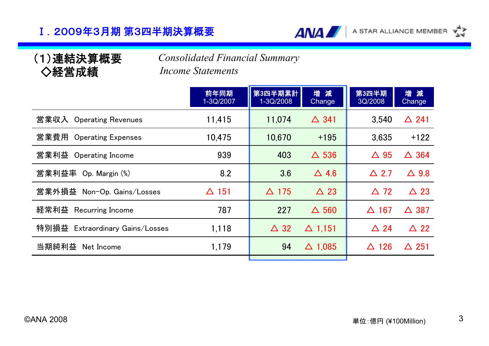



| (1)連結決算概要<br><b>Consolidated Financial Summary</b> |
|----------------------------------------------------|
|                                                    |

◇経営成績 *Income Statements*

|                                           | 前年同期<br>1-3Q/2007 | 第3四半期累計<br>1-3Q/2008 | 増 減<br>Change     | 第3四半期<br>3Q/2008 | 増 減<br><b>Change</b> |
|-------------------------------------------|-------------------|----------------------|-------------------|------------------|----------------------|
| 営業収入<br><b>Operating Revenues</b>         | 11,415            | 11,074               | $\triangle$ 341   | 3.540            | $\triangle$ 241      |
| 営業費用<br><b>Operating Expenses</b>         | 10,475            | 10,670               | $+195$            | 3.635            | $+122$               |
| 営業利益 Operating Income                     | 939               | 403                  | $\Delta$ 536      | $\triangle$ 95   | $\triangle$ 364      |
| 営業利益率 Op. Margin (%)                      | 8.2               | 3.6                  | $\triangle$ 4.6   | $\triangle$ 2.7  | $\triangle$ 9.8      |
| 営業外損益<br>Non-Op. Gains/Losses             | $\Delta$ 151      | $\Delta$ 175         | $\triangle$ 23    | $\triangle$ 72   | $\triangle$ 23       |
| 経常利益<br>Recurring Income                  | 787               | 227                  | $\triangle$ 560   | $\Delta$ 167     | $\triangle$ 387      |
| 特別損益<br><b>Extraordinary Gains/Losses</b> | 1,118             | $\triangle$ 32       | $\Delta$ 1.151    | $\triangle$ 24   | $\triangle$ 22       |
| 当期純利益<br>Net Income                       | 1,179             | 94                   | $\triangle$ 1,085 | $\Delta$ 126     | $\triangle$ 251      |
|                                           |                   |                      |                   |                  |                      |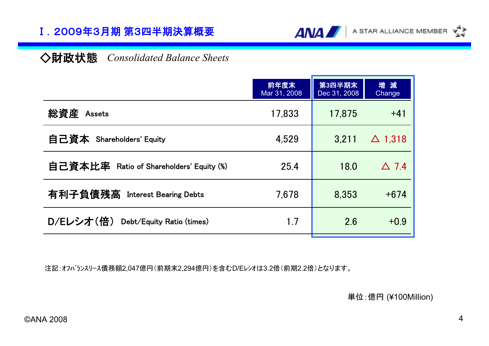

### ◇財政状態 *Consolidated Balance Sheets*

|                                          | 前年度末<br>Mar 31, 2008 | 第3四半期末<br>Dec 31, 2008 | 増減<br>Change    |
|------------------------------------------|----------------------|------------------------|-----------------|
| 総資産 Assets                               | 17,833               | 17,875                 | $+41$           |
| 自己資本 Shareholders' Equity                | 4,529                | 3,211                  | $\Delta$ 1,318  |
| 自己資本比率 Ratio of Shareholders' Equity (%) | 25.4                 | 18.0                   | $\triangle$ 7.4 |
| 有利子負債残高<br><b>Interest Bearing Debts</b> | 7,678                | 8,353                  | $+674$          |
| D/Eレシオ (倍) Debt/Equity Ratio (times)     | 1.7                  | 2.6                    | $+0.9$          |

注記:オフバランスリース債務額2,047億円(前期末2,294億円)を含むD/Eレシオは3.2倍(前期2.2倍)となります。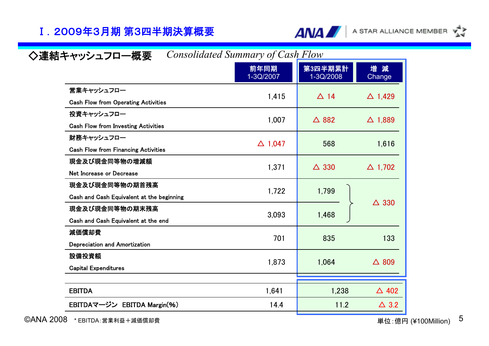

◇連結キャッシュフロー概要 *Consolidated Summary of Cash Flow*

|                                            | 前年同期<br>1-3Q/2007 | 第3四半期累計<br>1-3Q/2008 | 増 減<br>Change     |
|--------------------------------------------|-------------------|----------------------|-------------------|
| 営業キャッシュフロー                                 |                   |                      |                   |
| <b>Cash Flow from Operating Activities</b> | 1,415             | $\Delta$ 14          | $\triangle$ 1,429 |
| 投資キャッシュフロー                                 |                   |                      |                   |
| <b>Cash Flow from Investing Activities</b> | 1,007             | $\triangle$ 882      | $\Delta$ 1,889    |
| 財務キャッシュフロー                                 |                   |                      |                   |
| <b>Cash Flow from Financing Activities</b> | $\triangle$ 1,047 | 568                  | 1,616             |
| 現金及び現金同等物の増減額                              |                   | $\triangle$ 330      |                   |
| Net Increase or Decrease                   | 1,371             |                      | $\triangle$ 1,702 |
| 現金及び現金同等物の期首残高                             | 1,722             | 1,799                |                   |
| Cash and Cash Equivalent at the beginning  |                   |                      | $\triangle$ 330   |
| 現金及び現金同等物の期末残高                             | 3,093             | 1,468                |                   |
| Cash and Cash Equivalent at the end        |                   |                      |                   |
| 減価償却費                                      | 701               | 835                  | 133               |
| <b>Depreciation and Amortization</b>       |                   |                      |                   |
| 設備投資額                                      | 1,873             | 1,064                | $\triangle$ 809   |
| <b>Capital Expenditures</b>                |                   |                      |                   |
|                                            |                   |                      |                   |
| <b>EBITDA</b>                              | 1,641             | 1,238                | $\triangle$ 402   |
| EBITDAマージン EBITDA Margin(%)                | 14.4              | 11.2                 | $\triangle$ 3.2   |
|                                            |                   |                      |                   |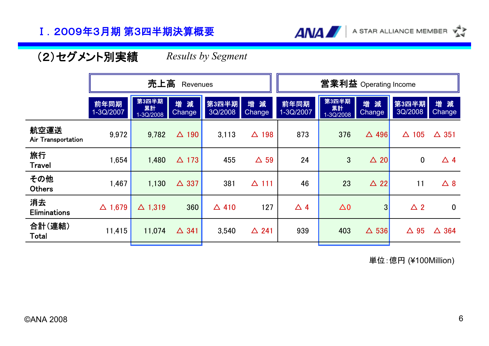

(2)セグメント別実績 *Results by Segment*

|                            | 売上高<br>Revenues   |                          |                  |                  |                      | 営業利益 Operating Income |                          |                  |                  |                      |
|----------------------------|-------------------|--------------------------|------------------|------------------|----------------------|-----------------------|--------------------------|------------------|------------------|----------------------|
|                            | 前年同期<br>1-3Q/2007 | 第3四半期<br>累計<br>1-3Q/2008 | 増<br>減<br>Change | 第3四半期<br>3Q/2008 | 増 減<br><b>Change</b> | 前年同期<br>$1 - 3Q/2007$ | 第3四半期<br>累計<br>1-3Q/2008 | 増<br>減<br>Change | 第3四半期<br>3Q/2008 | 増 減<br><b>Change</b> |
| 航空運送<br>Air Transportation | 9,972             | 9,782                    | $\triangle$ 190  | 3,113            | $\triangle$ 198      | 873                   | 376                      | $\triangle$ 496  | $\triangle$ 105  | $\triangle$ 351      |
| 旅行<br><b>Travel</b>        | 1,654             | 1,480                    | $\triangle$ 173  | 455              | $\triangle$ 59       | 24                    | 3                        | $\triangle$ 20   | $\mathbf 0$      | $\triangle$ 4        |
| その他<br><b>Others</b>       | 1,467             | 1,130                    | $\triangle$ 337  | 381              | $\Delta$ 111         | 46                    | 23                       | $\triangle$ 22   | 11               | $\triangle$ 8        |
| 消去<br><b>Eliminations</b>  | $\triangle$ 1,679 | $\Delta$ 1,319           | 360              | $\triangle$ 410  | 127                  | $\triangle$ 4         | $\Delta 0$               | $\overline{3}$   | $\triangle$ 2    | $\mathbf 0$          |
| 合計(連結)<br>Total            | 11,415            | 11,074                   | $\triangle$ 341  | 3,540            | $\triangle$ 241      | 939                   | 403                      | $\triangle$ 536  | $\triangle$ 95   | $\triangle$ 364      |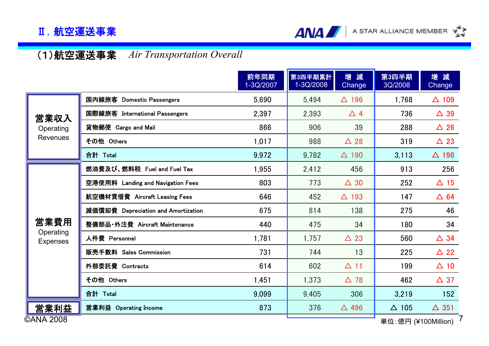ANA A STAR ALLIANCE MEMBER

### (1)航空運送事業 *Air Transportation Overall*

|                              |                                     | 前年同期<br>1-3Q/2007 | 第3四半期累計<br>1-3Q/2008 | 増 減<br>Change   | 第3四半期<br>3Q/2008    | 増 減<br>Change   |
|------------------------------|-------------------------------------|-------------------|----------------------|-----------------|---------------------|-----------------|
|                              | 国内線旅客 Domestic Passengers           | 5,690             | 5,494                | $\triangle$ 196 | 1,768               | $\triangle$ 109 |
| 営業収入                         | 国際線旅客 International Passengers      | 2,397             | 2,393                | $\triangle$ 4   | 736                 | $\triangle$ 39  |
| Operating<br>Revenues        | 貨物郵便 Cargo and Mail                 | 866               | 906                  | 39              | 288                 | $\triangle$ 26  |
|                              | その他 Others                          | 1,017             | 988                  | $\triangle$ 28  | 319                 | $\triangle$ 23  |
|                              | 合計 Total                            | 9,972             | 9.782                | $\triangle$ 190 | 3,113               | $\triangle$ 198 |
|                              | 燃油費及び、燃料税 Fuel and Fuel Tax         | 1,955             | 2,412                | 456             | 913                 | 256             |
|                              | 空港使用料 Landing and Navigation Fees   | 803               | 773                  | $\triangle$ 30  | 252                 | $\Delta$ 15     |
|                              | 航空機材賃借費 Aircraft Leasing Fees       | 646               | 452                  | $\triangle$ 193 | 147                 | $\triangle$ 64  |
|                              | 減価償却費 Depreciation and Amortization | 675               | 814                  | 138             | 275                 | 46              |
| 営業費用                         | 整備部品·外注費 Aircraft Maintenance       | 440               | 475                  | 34              | 180                 | 34              |
| Operating<br><b>Expenses</b> | 人件費 Personnel                       | 1,781             | 1,757                | $\triangle$ 23  | 560                 | $\triangle$ 34  |
|                              | 販売手数料 Sales Commission              | 731               | 744                  | 13              | 225                 | $\triangle$ 22  |
|                              | 外部委託費 Contracts                     | 614               | 602                  | $\Delta$ 11     | 199                 | $\Delta$ 10     |
|                              | その他 Others                          | 1,451             | 1,373                | $\triangle$ 78  | 462                 | $\triangle$ 37  |
|                              | 合計 Total                            | 9,099             | 9.405                | 306             | 3,219               | 152             |
| 営業利益                         | 営業利益 Operating Income               | 873               | 376                  | $\triangle$ 496 | $\triangle$ 105     | $\Delta$ 351    |
| ©ANA 2008                    |                                     |                   |                      |                 | 単位:億円 (¥100Million) | 7               |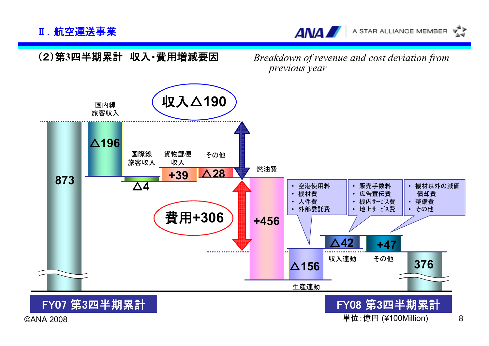

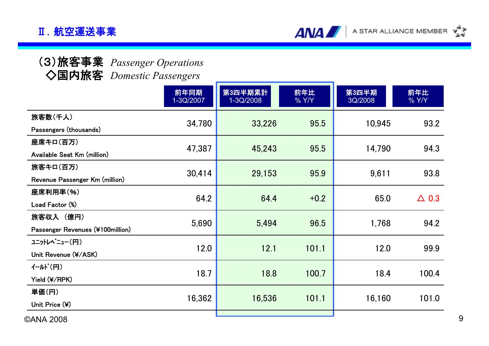

(3)旅客事業 *Passenger Operations* ◇国内旅客 *Domestic Passengers*

|                                  | 前年同期<br>1-3Q/2007 | 第3四半期累計<br>1-3Q/2008 | 前年比<br>% Y/Y | 第3四半期<br>3Q/2008 | 前年比<br>$%$ Y/Y  |  |
|----------------------------------|-------------------|----------------------|--------------|------------------|-----------------|--|
| 旅客数(千人)                          | 34,780            | 33,226               | 95.5         | 10,945           | 93.2            |  |
| Passengers (thousands)           |                   |                      |              |                  |                 |  |
| 座席キロ(百万)                         |                   |                      |              | 14,790           |                 |  |
| Available Seat Km (million)      | 47,387            | 45,243               | 95.5         |                  | 94.3            |  |
| 旅客キロ(百万)                         | 30,414            | 29,153               | 95.9         | 9,611            | 93.8            |  |
| Revenue Passenger Km (million)   |                   |                      |              |                  |                 |  |
| 座席利用率(%)                         | 64.2              | 64.4                 | $+0.2$       | 65.0             | $\triangle$ 0.3 |  |
| Load Factor (%)                  |                   |                      |              |                  |                 |  |
| 旅客収入 (億円)                        |                   |                      |              |                  |                 |  |
| Passenger Revenues (¥100million) | 5,690             | 5,494                | 96.5         | 1,768            | 94.2            |  |
| ユニットレヘ ニュー(円)                    |                   | 12.1                 | 101.1        | 12.0             |                 |  |
| Unit Revenue (¥/ASK)             | 12.0              |                      |              |                  | 99.9            |  |
| イールト (円)                         |                   |                      |              |                  |                 |  |
| Yield (¥/RPK)                    | 18.7              | 18.8                 | 100.7        | 18.4             | 100.4           |  |
| 単価(円)                            |                   |                      |              |                  |                 |  |
| Unit Price (¥)                   | 16,362            | 16,536               | 101.1        | 16,160           | 101.0           |  |
| ©ANA 2008                        |                   |                      |              |                  |                 |  |

©ANA 2008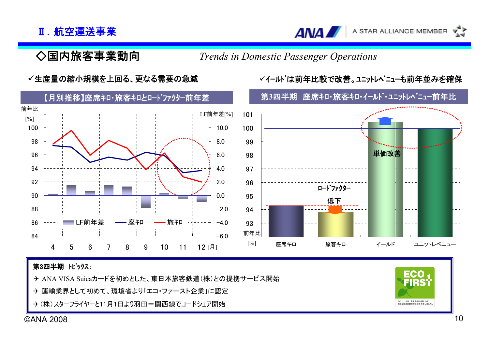

### ◇国内旅客事業動向 *Trends in Domestic Passenger Operations*

### √生産量の縮小規模を上回る、更なる需要の急減

<sup>9</sup>イールドは前年比較で改善。ユニットレベニューも前年並みを確保



#### 第3四半期 トピックス:

©ANA 2008

- ✈ ANA VISA Suicaカードを初めとした、東日本旅客鉄道(株)との提携サービス開始
- ✈ 運輸業界として初めて、環境省より「エコ・ファースト企業」に認定
- ✈(株)スターフライヤーと11月1日より羽田=関西線でコードシェア開始

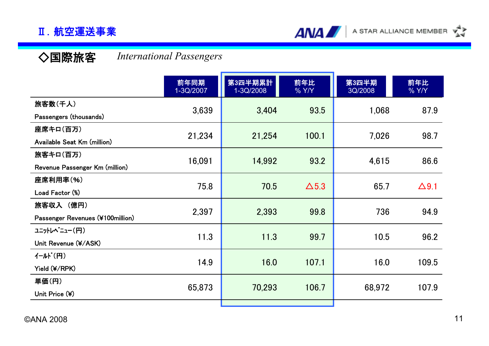

◇国際旅客 *International Passengers*

|                                  | 前年同期<br>1-3Q/2007 | 第3四半期累計<br>1-3Q/2008 | 前年比<br>% Y/Y | 第3四半期<br>3Q/2008 | 前年比<br>$%$ Y/Y |  |
|----------------------------------|-------------------|----------------------|--------------|------------------|----------------|--|
| 旅客数(千人)                          |                   |                      |              |                  | 87.9           |  |
| Passengers (thousands)           | 3,639             | 3,404                | 93.5         | 1,068            |                |  |
| 座席キロ(百万)                         |                   |                      | 100.1        |                  |                |  |
| Available Seat Km (million)      | 21,234            | 21,254               |              | 7,026            | 98.7           |  |
| 旅客キロ(百万)                         | 16,091            | 14,992               | 93.2         | 4,615            | 86.6           |  |
| Revenue Passenger Km (million)   |                   |                      |              |                  |                |  |
| 座席利用率(%)                         | 75.8              | 70.5                 | $\Delta$ 5.3 | 65.7             | $\Delta$ 9.1   |  |
| Load Factor (%)                  |                   |                      |              |                  |                |  |
| 旅客収入 (億円)                        | 2,397             | 2,393                | 99.8         | 736              | 94.9           |  |
| Passenger Revenues (¥100million) |                   |                      |              |                  |                |  |
| ユニットレヘニュー(円)                     | 11.3              |                      |              |                  |                |  |
| Unit Revenue (¥/ASK)             |                   | 11.3<br>99.7         |              | 10.5             | 96.2           |  |
| イールド(円)                          |                   |                      |              |                  |                |  |
| Yield (¥/RPK)                    | 14.9              | 16.0                 | 107.1        | 16.0             | 109.5          |  |
| 単価(円)                            |                   |                      |              |                  |                |  |
| Unit Price (¥)                   | 65,873            | 70,293               | 106.7        | 68,972           | 107.9          |  |
|                                  |                   |                      |              |                  |                |  |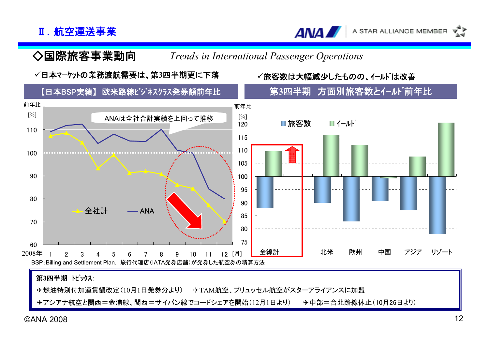ANA A STAR ALLIANCE MEMBER

◇国際旅客事業動向 *Trends in International Passenger Operations*

9日本マーケットの業務渡航需要は、第**3**四半期更に下落

### <sup>9</sup>旅客数は大幅減少したものの、イールドは改善



→燃油特別付加運賃額改定(10月1日発券分より) → TAM航空、ブリュッセル航空がスターアライアンスに加盟

✈アシアナ航空と関西=金浦線、関西=サイパン線でコードシェアを開始(12月1日より) ✈中部=台北路線休止(10月26日より)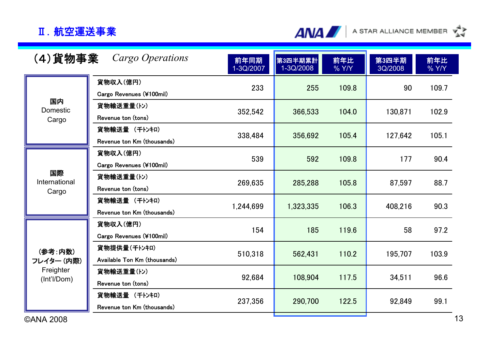

| (4)貨物事業                      | Cargo Operations                             | 前年同期<br>1-3Q/2007 | 第3四半期累計<br>1-3Q/2008 | 前年比<br>% Y/Y | 第3四半期<br>3Q/2008 | 前年比<br>$%$ Y/Y |
|------------------------------|----------------------------------------------|-------------------|----------------------|--------------|------------------|----------------|
|                              | 貨物収入(億円)<br>Cargo Revenues (¥100mil)         | 233               | 255                  | 109.8        | 90               | 109.7          |
| 国内<br>Domestic<br>Cargo      | 貨物輸送重量(トン)<br>Revenue ton (tons)             | 352,542           | 366,533              | 104.0        | 130,871          | 102.9          |
|                              | 貨物輸送量 (千トンキロ)<br>Revenue ton Km (thousands)  | 338,484           | 356,692              | 105.4        | 127,642          | 105.1          |
| 国際<br>International<br>Cargo | 貨物収入(億円)<br>Cargo Revenues (¥100mil)         | 539               | 592                  | 109.8        | 177              | 90.4           |
|                              | 貨物輸送重量(トン)<br>Revenue ton (tons)             | 269,635           | 285,288              | 105.8        | 87,597           | 88.7           |
|                              | 貨物輸送量 (千トンキロ)<br>Revenue ton Km (thousands)  | 1,244,699         | 1,323,335            | 106.3        | 408,216          | 90.3           |
|                              | 貨物収入(億円)<br>Cargo Revenues (¥100mil)         | 154               | 185                  | 119.6        | 58               | 97.2           |
| (参考:内数)<br>フレイター (内際)        | 貨物提供量(千トンキロ)<br>Available Ton Km (thousands) | 510,318           | 562,431              | 110.2        | 195,707          | 103.9          |
| Freighter<br>(Int'l/Dom)     | 貨物輸送重量(トン)<br>Revenue ton (tons)             | 92,684            | 108,904              | 117.5        | 34,511           | 96.6           |
|                              | 貨物輸送量 (千トンキロ)<br>Revenue ton Km (thousands)  | 237,356           | 290,700              | 122.5        | 92,849           | 99.1           |
| <b>©ANA 2008</b>             |                                              |                   |                      |              |                  | 13             |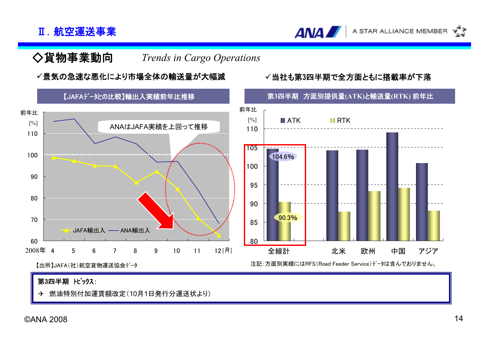ANA A STAR ALLIANCE MEMBER

◇貨物事業動向

*Trends in Cargo Operations*

√景気の急速な悪化により市場全体の輸送量が大幅減

### <sup>9</sup>当社も第**3**四半期で全方面ともに搭載率が下落



#### 第3四半期 トピックス:

✈ 燃油特別付加運賃額改定(10月1日発行分運送状より)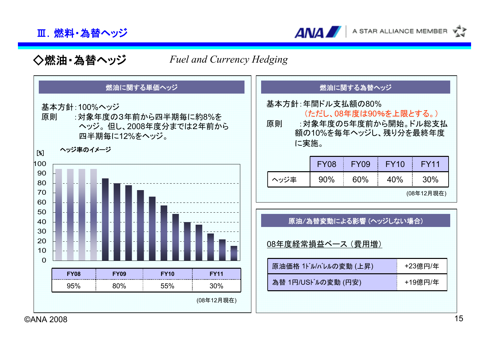



◇燃油・為替ヘッジ *Fuel and Currency Hedging*

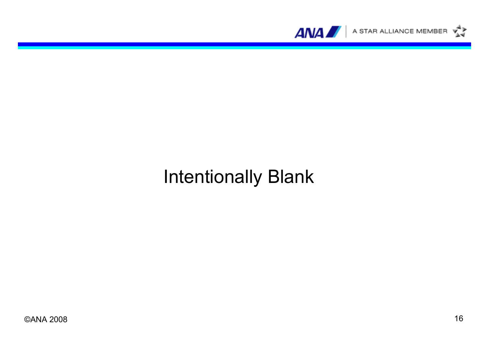

## Intentionally Blank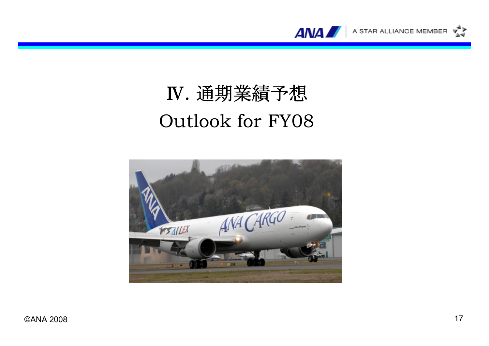

# Ⅳ. 通期業績予想 Outlook for FY08

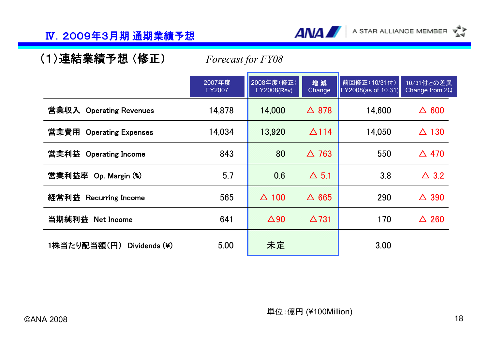



| (1)連結業績予想 (修正)                  | <b>Forecast for FY08</b> |                                  |                 |                                     |                              |  |  |  |
|---------------------------------|--------------------------|----------------------------------|-----------------|-------------------------------------|------------------------------|--|--|--|
|                                 | 2007年度<br><b>FY2007</b>  | 2008年度(修正)<br><b>FY2008(Rev)</b> | 増減<br>Change    | 前回修正(10/31付)<br>FY2008(as of 10.31) | 10/31付との差異<br>Change from 2Q |  |  |  |
| 営業収入 Operating Revenues         | 14,878                   | 14,000                           | $\triangle$ 878 | 14,600                              | $\triangle$ 600              |  |  |  |
| 営業費用 Operating Expenses         | 14,034                   | 13,920                           | $\Delta$ 114    | 14,050                              | $\Delta$ 130                 |  |  |  |
| 営業利益<br><b>Operating Income</b> | 843                      | 80                               | $\triangle$ 763 | 550                                 | $\triangle$ 470              |  |  |  |
| 営業利益率 Op. Margin (%)            | 5.7                      | 0.6                              | $\Delta$ 5.1    | 3.8                                 | $\triangle$ 3.2              |  |  |  |
| 経常利益<br><b>Recurring Income</b> | 565                      | $\triangle$ 100                  | $\triangle$ 665 | 290                                 | $\triangle$ 390              |  |  |  |
| 当期純利益<br>Net Income             | 641                      | $\Delta$ 90                      | $\Delta$ 731    | 170                                 | $\triangle$ 260              |  |  |  |
| 1株当たり配当額(円)<br>Dividends (¥)    | 5.00                     | 未定                               |                 | 3.00                                |                              |  |  |  |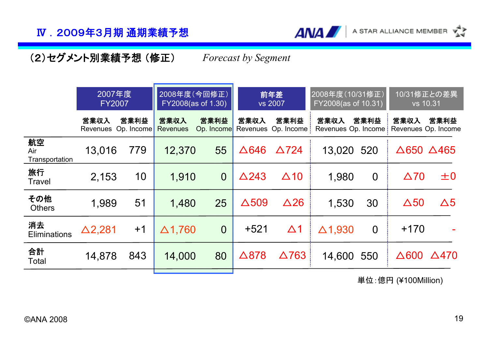

(2)セグメント別業績予想 (修正) *Forecast by Segment*

|                             | 2007年度<br><b>FY2007</b> |                    |                         |                    |                  | 2008年度(今回修正)<br>FY2008(as of 1.30) |                             | 前年差<br>vs 2007   | 2008年度(10/31修正)<br>FY2008(as of 10.31) |                           |  | 10/31修正との差異<br>vs 10.31 |
|-----------------------------|-------------------------|--------------------|-------------------------|--------------------|------------------|------------------------------------|-----------------------------|------------------|----------------------------------------|---------------------------|--|-------------------------|
|                             | 営業収入<br><b>Revenues</b> | 営業利益<br>Op. Income | 営業収入<br><b>Revenues</b> | 営業利益<br>Op. Income | 営業収入<br>Revenues | 営業利益<br>Op. Income                 | 営業収入<br>Revenues Op. Income | 営業利益             | 営業収入<br>Revenues Op. Income            | 営業利益                      |  |                         |
| 航空<br>Air<br>Transportation | 13,016                  | 779                | 12,370                  | 55                 | $\Delta 646$     | $\Delta$ 724                       | 13,020 520                  |                  |                                        | $\Delta$ 650 $\Delta$ 465 |  |                         |
| 旅行<br><b>Travel</b>         | 2,153                   | 10                 | 1,910                   | $\overline{0}$     | $\Delta$ 243     | $\triangle$ 10                     | 1,980                       | $\boldsymbol{0}$ | $\Delta$ 70                            | $\pm 0$                   |  |                         |
| その他<br><b>Others</b>        | 1,989                   | 51                 | 1,480                   | 25                 | $\Delta$ 509     | $\Delta$ 26                        | 1,530                       | 30               | $\Delta$ 50                            | $\Delta$ 5                |  |                         |
| 消去<br>Eliminations          | $\Delta$ 2,281          | $+1$               | $\Delta$ 1,760          | $\overline{0}$     | $+521$           | $\Delta$ 1                         | $\Delta$ 1,930              | $\overline{0}$   | $+170$                                 |                           |  |                         |
| 合計<br>Total                 | 14,878                  | 843                | 14,000                  | 80                 | $\Delta$ 878     | $\Delta$ 763                       | 14,600                      | 550              | $\Delta 600$                           | $\Delta$ 470              |  |                         |
|                             |                         |                    |                         |                    |                  |                                    |                             |                  |                                        |                           |  |                         |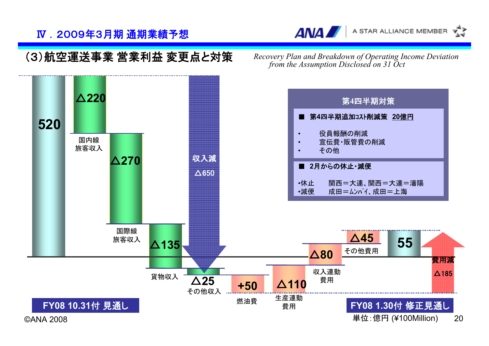

*from the Assumption Disclosed on 31 Oct* (3)航空運送事業 営業利益 変更点と対策

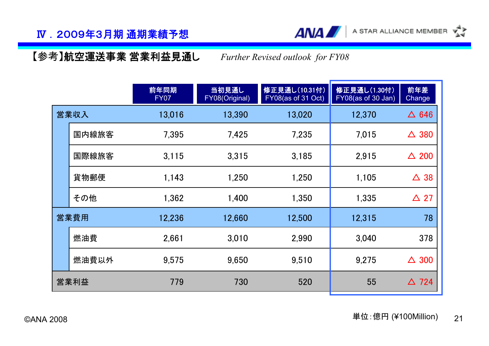

### 【参考】航空運送事業 営業利益見通し *Further Revised outlook for FY08*

|       | 前年同期<br><b>FY07</b> | 当初見通し<br>FY08(Original) | 修正見通し(10.31付)<br>FY08(as of 31 Oct) | 修正見通し(1.30付)<br>FY08(as of 30 Jan) | 前年差<br>Change   |
|-------|---------------------|-------------------------|-------------------------------------|------------------------------------|-----------------|
| 営業収入  | 13,016              | 13,390                  | 13,020                              | 12,370                             | $\triangle$ 646 |
| 国内線旅客 | 7,395               | 7,425                   | 7,235                               | 7,015                              | 380<br>$\Delta$ |
| 国際線旅客 | 3,115               | 3,315                   | 3,185                               | 2,915                              | $\triangle 200$ |
| 貨物郵便  | 1,143               | 1,250                   | 1,250                               | 1,105                              | $\triangle$ 38  |
| その他   | 1,362               | 1,400                   | 1,350                               | 1,335                              | $\triangle$ 27  |
| 営業費用  | 12,236              | 12,660                  | 12,500                              | 12,315                             | 78              |
| 燃油費   | 2.661               | 3,010                   | 2,990                               | 3,040                              | 378             |
| 燃油費以外 | 9,575               | 9,650                   | 9,510                               | 9,275                              | $\triangle$ 300 |
| 営業利益  | 779                 | 730                     | 520                                 | 55                                 | $\triangle$ 724 |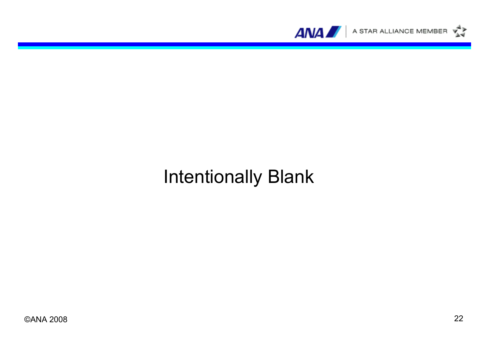

## Intentionally Blank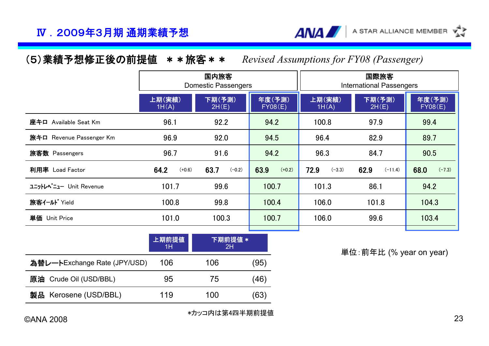

(5)業績予想修正後の前提値 \*\*旅客\*\* *Revised Assumptions for FY08 (Passenger)*

| 国内旅客<br><b>Domestic Passengers</b> |                  |                   | 国際旅客<br><b>International Passengers</b> |                   |                   |  |
|------------------------------------|------------------|-------------------|-----------------------------------------|-------------------|-------------------|--|
| 上期(実績)<br>1H(A)                    | 下期(予測)<br>2H(E)  | 年度(予測)<br>FY08(E) | 上期(実績)<br>1H(A)                         | 下期(予測)<br>2H(E)   | 年度(予測)<br>FY08(E) |  |
| 96.1                               | 92.2             | 94.2              | 100.8                                   | 97.9              | 99.4              |  |
| 96.9                               | 92.0             | 94.5              | 96.4                                    | 82.9              | 89.7              |  |
| 96.7                               | 91.6             | 94.2              | 96.3                                    | 84.7              | 90.5              |  |
| 64.2<br>$(+0.6)$                   | 63.7<br>$(-0.2)$ | 63.9<br>$(+0.2)$  | 72.9<br>$(-3.3)$                        | 62.9<br>$(-11.4)$ | 68.0<br>$(-7.3)$  |  |
| 101.7                              | 99.6             | 100.7             | 101.3                                   | 86.1              | 94.2              |  |
| 100.8                              | 99.8             | 100.4             | 106.0                                   | 101.8             | 104.3             |  |
| 101.0                              | 100.3            | 100.7             | 106.0                                   | 99.6              | 103.4             |  |
|                                    |                  |                   |                                         |                   |                   |  |

|                              | 上期前提値<br>1H | 2H  |      |
|------------------------------|-------------|-----|------|
| 為替レートExchange Rate (JPY/USD) | 106         | 106 | (95) |
| 原油 Crude Oil (USD/BBL)       | 95          | 75  | (46) |
| 製品 Kerosene (USD/BBL)        | 119         | 100 | (63) |

単位:前年比 (% year on year)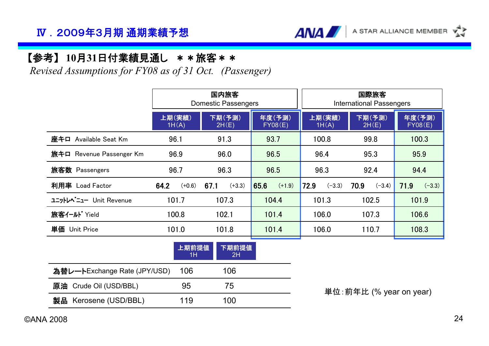

### 【参考】 **10**月**31**日付業績見通し \*\*旅客\*\*

*Revised Assumptions for FY08 as of 31 Oct. (Passenger)*

|                              | 国内旅客<br><b>Domestic Passengers</b> |                  |                   | 国際旅客<br><b>International Passengers</b> |                          |                   |  |
|------------------------------|------------------------------------|------------------|-------------------|-----------------------------------------|--------------------------|-------------------|--|
|                              | 上期(実績)<br>1H(A)                    | 下期(予測)<br>2H(E)  | 年度(予測)<br>FY08(E) | 上期(実績)<br>1H(A)                         | 下期(予測)<br>2H(E)          | 年度(予測)<br>FY08(E) |  |
| 座キロ Available Seat Km        | 96.1                               | 91.3             | 93.7              | 100.8                                   | 99.8                     | 100.3             |  |
| 旅キロ Revenue Passenger Km     | 96.9                               | 96.0             | 96.5              | 96.4                                    | 95.3                     | 95.9              |  |
| 旅客数 Passengers               | 96.7                               | 96.3             | 96.5              | 96.3                                    | 92.4                     | 94.4              |  |
| 利用率 Load Factor              | 64.2<br>$(+0.6)$                   | 67.1<br>$(+3.3)$ | 65.6<br>$(+1.9)$  | 72.9<br>$(-3.3)$                        | 70.9<br>$(-3.4)$         | 71.9<br>$(-3.3)$  |  |
| ユニットレヘニュー Unit Revenue       | 101.7                              | 107.3            | 104.4             | 101.3                                   | 102.5                    | 101.9             |  |
| 旅客イール Yield                  | 100.8                              | 102.1            | 101.4             | 106.0                                   | 107.3                    | 106.6             |  |
| 単価 Unit Price                | 101.0                              | 101.8            | 101.4             | 106.0                                   | 110.7                    | 108.3             |  |
|                              | 上期前提値<br>1H                        | 下期前提值<br>2H      |                   |                                         |                          |                   |  |
| 為替レートExchange Rate (JPY/USD) | 106                                | 106              |                   |                                         |                          |                   |  |
| 原油<br>Crude Oil (USD/BBL)    | 95                                 | 75               |                   |                                         | 単位: 前年比 (% year on year) |                   |  |
| 製品<br>Kerosene (USD/BBL)     | 119                                | 100              |                   |                                         |                          |                   |  |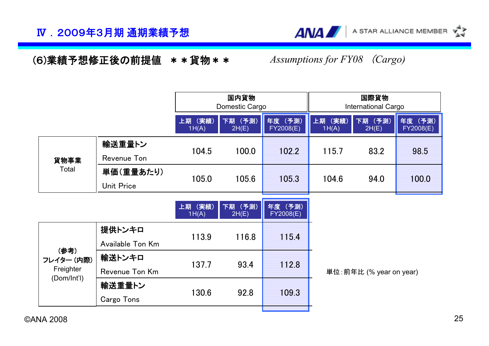

(6)業績予想修正後の前提値 \*\*貨物\*\*

*Assumptions for FY08* (*Cargo)*

|                                 |                                |                  | 国内貨物<br>Domestic Cargo |                             |                  | 国際貨物<br><b>International Cargo</b> |                      |
|---------------------------------|--------------------------------|------------------|------------------------|-----------------------------|------------------|------------------------------------|----------------------|
|                                 |                                | 上期 (実績)<br>1H(A) | 下期 (予測)<br>2H(E)       | 年度 (予測)<br><b>FY2008(E)</b> | 上期 (実績)<br>1H(A) | 下期 (予測)<br>2H(E)                   | 年度 (予測)<br>FY2008(E) |
| 貨物事業                            | 輸送重量トン<br>Revenue Ton          | 104.5            | 100.0                  | 102.2                       | 115.7            | 83.2                               | 98.5                 |
| Total                           | 単価(重量あたり)<br><b>Unit Price</b> | 105.0            | 105.6                  | 105.3                       | 104.6            | 94.0                               | 100.0                |
|                                 |                                | 上期 (実績)<br>1H(A) | 下期 (予測)<br>2H(E)       | 年度 (予測)<br>FY2008(E)        |                  |                                    |                      |
|                                 | 提供トンキロ<br>Available Ton Km     | 113.9            | 116.8                  | 115.4                       |                  |                                    |                      |
| (参考)<br>フレイター (内際)<br>Freighter | 輸送トンキロ<br>Revenue Ton Km       | 137.7            | 93.4                   | 112.8                       |                  | 単位: 前年比 (% year on year)           |                      |
| (Dom/Int'l)                     | 輸送重量トン<br>Cargo Tons           | 130.6            | 92.8                   | 109.3                       |                  |                                    |                      |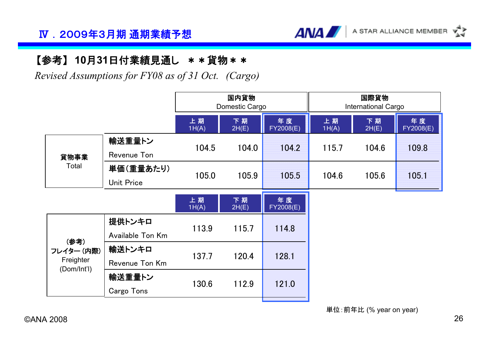

### 【参考】 **10**月**31**日付業績見通し \*\*貨物\*\*

*Revised Assumptions for FY08 as of 31 Oct. (Cargo)*

|             |                   | 国内貨物<br>Domestic Cargo |             |                 |             | 国際貨物<br>International Cargo |                 |
|-------------|-------------------|------------------------|-------------|-----------------|-------------|-----------------------------|-----------------|
|             |                   | 上期<br>1H(A)            | 下期<br>2H(E) | 年度<br>FY2008(E) | 上期<br>1H(A) | 下期<br>2H(E)                 | 年度<br>FY2008(E) |
|             | 輸送重量トン            | 104.5                  | 104.0       | 104.2           | 115.7       | 104.6                       | 109.8           |
| 貨物事業        | Revenue Ton       |                        |             |                 |             |                             |                 |
| Total       | 単価(重量あたり)         | 105.0                  | 105.9       | 105.5           | 104.6       | 105.6                       | 105.1           |
|             | <b>Unit Price</b> |                        |             |                 |             |                             |                 |
|             |                   | 上期<br>1H(A)            | 下期<br>2H(E) | 年度<br>FY2008(E) |             |                             |                 |
|             | 提供トンキロ            | 113.9                  | 115.7       | 114.8           |             |                             |                 |
| (参考)        | Available Ton Km  |                        |             |                 |             |                             |                 |
| フレイター (内際)  | 輸送トンキロ            | 137.7                  | 120.4       | 128.1           |             |                             |                 |
| Freighter   | Revenue Ton Km    |                        |             |                 |             |                             |                 |
| (Dom/Int'l) | 輸送重量トン            | 130.6                  | 112.9       | 121.0           |             |                             |                 |
|             | Cargo Tons        |                        |             |                 |             |                             |                 |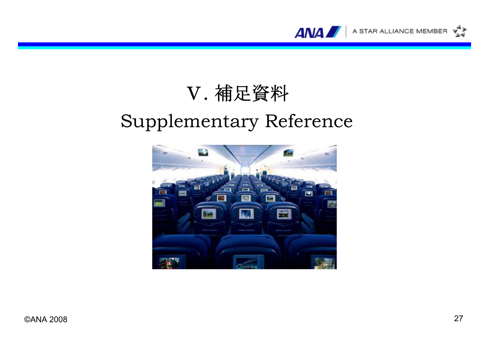

# Ⅴ. 補足資料 Supplementary Reference

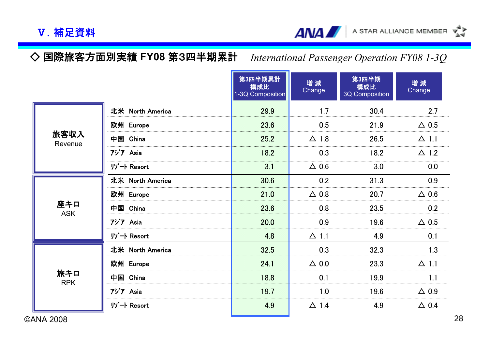### Ⅴ.補足資料



◇ 国際旅客方面別実績 **FY08** 第3四半期累計 *International Passenger Operation FY08 1-3Q*

|                  | 第3四半期累計<br>構成比<br>1-3Q Composition | 増減<br>Change    | 第3四半期<br>構成比<br>3Q Composition | 増減<br>Change    |
|------------------|------------------------------------|-----------------|--------------------------------|-----------------|
| 北米 North America | 29.9                               | 1.7             | 30.4                           | 2.7             |
| 欧州 Europe        | 23.6                               | 0.5             | 21.9                           | $\triangle$ 0.5 |
|                  | 25.2                               | $\Delta$ 1.8    | 26.5                           | $\Delta$ 1.1    |
|                  | 18.2                               | 0.3             | 18.2                           | $\Delta$ 1.2    |
| リゾート Resort      | 3.1                                | $\triangle$ 0.6 | 3.0                            | 0.0             |
| 北米 North America | 30.6                               | 0.2             | 31.3                           | 0.9             |
| 欧州 Europe        | 21.0                               | $\triangle$ 0.8 | 20.7                           | $\triangle$ 0.6 |
| 中国 China         | 23.6                               | 0.8             | 23.5                           | 0.2             |
|                  | 20.0                               | 0.9             | 19.6                           | $\triangle$ 0.5 |
| リゾート Resort      | 4.8                                | $\Delta$ 1.1    | 4.9                            | 0.1             |
| 北米 North America | 32.5                               | 0.3             | 32.3                           | 1.3             |
| 欧州 Europe        | 24.1                               | $\triangle$ 0.0 | 23.3                           | $\Delta$ 1.1    |
|                  | 18.8                               | 0.1             | 19.9                           | 1.1             |
|                  | 19.7                               | 1.0             | 19.6                           | $\triangle$ 0.9 |
| リゾート Resort      | 4.9                                | $\triangle$ 1.4 | 4.9                            | $\triangle$ 0.4 |
|                  |                                    |                 |                                |                 |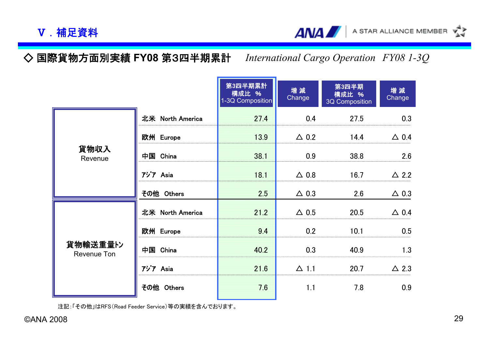### Ⅴ .補足資料



◇ 国際貨物方面別実績 **FY08** 第3四半期累計 *International Cargo Operation FY08 1-3Q*

|                         |                  | 第3四半期累計<br>構成比 %<br>1-3Q Composition | 増減<br>Change    | 第3四半期<br>構成比 %<br>3Q Composition | 増減<br>Change    |
|-------------------------|------------------|--------------------------------------|-----------------|----------------------------------|-----------------|
|                         | 北米 North America | 27.4                                 | 0.4             | 27.5                             | 0.3             |
|                         | 欧州 Europe        | 13.9                                 | $\triangle$ 0.2 | 14.4                             | (14)            |
| 貨物収入<br>Revenue         | 中国 China         | 38.1                                 | 0.9             | 38.8                             | 2.6             |
|                         | アジア Asia         | 18.1                                 | $\triangle$ 0.8 | 16.7                             | $\Delta$ 2.2    |
|                         | その他 Others       | 2.5                                  | $\triangle$ 0.3 | 2.6                              | $\triangle$ 0.3 |
|                         | 北米 North America | 21.2                                 | $\triangle$ 0.5 | 20.5                             | በ 4             |
|                         | 欧州 Europe        | 9.4                                  | 0.2             | 10.1                             | 0.5             |
| 貨物輸送重量トン<br>Revenue Ton | 中国 China         | 40.2                                 | 0.3             | 40.9                             | 1.3             |
|                         | アジア Asia         | 21.6                                 | $\Delta$ 1.1    | 20.7                             | $\triangle$ 2.3 |
|                         | その他 Others       | 7.6                                  | 1.1             | 7.8                              | 0.9             |

注記:「その他」はRFS(Road Feeder Service)等の実績を含んでおります。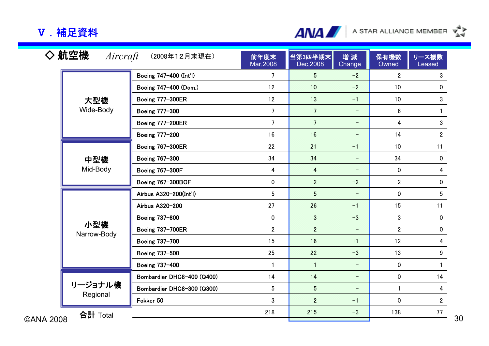### Ⅴ .補足資料



| ◇ 航空機<br>Aircraft            | (2008年12月末現在)              | 前年度末<br>Mar, 2008 | 当第3四半期末<br>Dec, 2008 | 増減<br>Change             | 保有機数<br>Owned  | リース機数<br>Leased |
|------------------------------|----------------------------|-------------------|----------------------|--------------------------|----------------|-----------------|
|                              | Boeing 747-400 (Int'l)     | 7                 | $5\phantom{.0}$      | $-2$                     | $\overline{2}$ | 3               |
|                              | Boeing 747-400 (Dom.)      | 12                | 10                   | $-2$                     | 10             | $\mathbf{0}$    |
| 大型機                          | <b>Boeing 777-300ER</b>    | 12                | 13                   | $+1$                     | 10             | 3               |
| Wide-Body                    | Boeing 777-300             | $\overline{7}$    | $7\overline{ }$      | $\qquad \qquad -$        | $6\phantom{a}$ |                 |
|                              | <b>Boeing 777-200ER</b>    | $\overline{7}$    | $7\overline{ }$      | $\qquad \qquad -$        | 4              | 3               |
|                              | Boeing 777-200             | 16                | 16                   | $\qquad \qquad -$        | 14             | $2\overline{ }$ |
|                              | <b>Boeing 767-300ER</b>    | 22                | 21                   | $-1$                     | 10             | 11              |
| 中型機                          | Boeing 767-300             | 34                | 34                   | $\overline{\phantom{0}}$ | 34             | 0               |
| Mid-Body                     | <b>Boeing 767-300F</b>     | $\overline{4}$    | $\overline{4}$       | $\overline{\phantom{0}}$ | $\mathbf 0$    | 4               |
|                              | Boeing 767-300BCF          | $\pmb{0}$         | $2^{\circ}$          | $+2$                     | $\overline{2}$ | $\mathbf 0$     |
|                              | Airbus A320-200(Int'l)     | $5\phantom{.0}$   | $5\phantom{.0}$      | $\qquad \qquad -$        | $\mathbf 0$    | $5\overline{)}$ |
|                              | Airbus A320-200            | 27                | 26                   | $-1$                     | 15             | 11              |
|                              | Boeing 737-800             | $\bf{0}$          | 3                    | $+3$                     | 3              | $\mathbf 0$     |
| 小型機<br>Narrow-Body           | <b>Boeing 737-700ER</b>    | $\overline{2}$    | $\overline{2}$       | $\qquad \qquad -$        | $\overline{2}$ | 0               |
|                              | Boeing 737-700             | 15                | 16                   | $+1$                     | 12             | 4               |
|                              | Boeing 737-500             | 25                | 22                   | $-3$                     | 13             | 9               |
|                              | Boeing 737-400             | $\mathbf{1}$      | $\mathbf{1}$         | $\qquad \qquad -$        | $\mathbf 0$    |                 |
|                              | Bombardier DHC8-400 (Q400) | 14                | 14                   | $\qquad \qquad -$        | $\mathbf 0$    | 14              |
| リージョナル機                      | Bombardier DHC8-300 (Q300) | 5                 | $5\overline{)}$      | $\qquad \qquad -$        | $\mathbf{1}$   | 4               |
| Regional                     | Fokker 50                  | 3                 | $\overline{2}$       | $-1$                     | $\mathbf 0$    | $\mathbf{2}$    |
| 合計 Total<br><b>©ANA 2008</b> |                            | 218               | 215                  | $-3$                     | 138            | 77              |